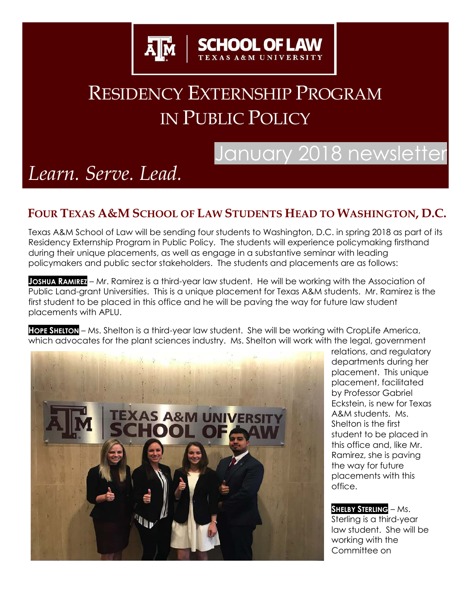

# RESIDENCY EXTERNSHIP PROGRAM IN PUBLIC POLICY

## January 2018 newsletter

# *Learn. Serve. Lead.*

#### **FOUR TEXAS A&M SCHOOL OF LAW STUDENTS HEAD TO WASHINGTON, D.C.**

Texas A&M School of Law will be sending four students to Washington, D.C. in spring 2018 as part of its Residency Externship Program in Public Policy. The students will experience policymaking firsthand during their unique placements, as well as engage in a substantive seminar with leading policymakers and public sector stakeholders. The students and placements are as follows:

**JOSHUA RAMIREZ** – Mr. Ramirez is a third-year law student. He will be working with the Association of Public Land-grant Universities. This is a unique placement for Texas A&M students. Mr. Ramirez is the first student to be placed in this office and he will be paving the way for future law student placements with APLU.

**HOPE SHELTON** – Ms. Shelton is a third-year law student. She will be working with CropLife America, which advocates for the plant sciences industry. Ms. Shelton will work with the legal, government



relations, and regulatory departments during her placement. This unique placement, facilitated by Professor Gabriel Eckstein, is new for Texas A&M students. Ms. Shelton is the first student to be placed in this office and, like Mr. Ramirez, she is paving the way for future placements with this office.

**SHELBY STERLING** – Ms. Sterling is a third-year law student. She will be working with the Committee on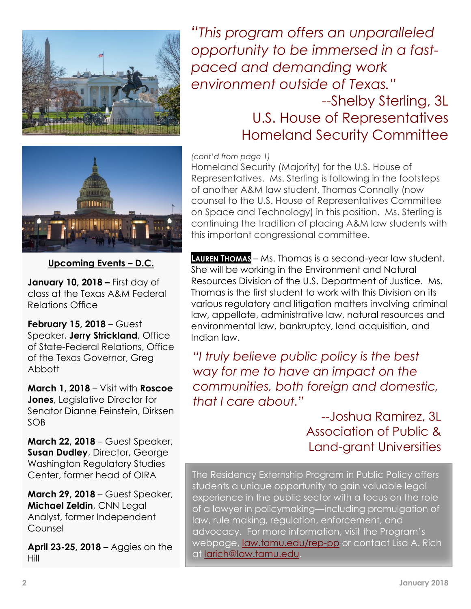

*"This program offers an unparalleled opportunity to be immersed in a fastpaced and demanding work environment outside of Texas."*

### --Shelby Sterling, 3L U.S. House of Representatives Homeland Security Committee

*(cont'd from page 1)*

Homeland Security (Majority) for the U.S. House of Representatives. Ms. Sterling is following in the footsteps of another A&M law student, Thomas Connally (now counsel to the U.S. House of Representatives Committee on Space and Technology) in this position. Ms. Sterling is continuing the tradition of placing A&M law students with this important congressional committee.

**LAUREN THOMAS** – Ms. Thomas is a second-year law student. She will be working in the Environment and Natural Resources Division of the U.S. Department of Justice. Ms. Thomas is the first student to work with this Division on its various regulatory and litigation matters involving criminal law, appellate, administrative law, natural resources and environmental law, bankruptcy, land acquisition, and Indian law.

*"I truly believe public policy is the best way for me to have an impact on the communities, both foreign and domestic, that I care about."* 

### --Joshua Ramirez, 3L Association of Public & Land-grant Universities

The Residency Externship Program in Public Policy offers The Residency Externship Program in Public Policy offers students a unique opportunity to gain valuable legal experience in the public sector with a focus on the role of a lawyer in policymaking—including promulgation of law, rule making, regulation, enforcement, and advocacy. For more information, visit the Program's [webpage,](mailto:larich@law.tamu.edu) [law.tamu.edu/rep-pp](https://law.tamu.edu/current-students/academics/centers-clinics-programs/externship-program/residency-externship-program) or contact Lisa A. Rich at [larich@law.tamu.edu.](mailto:larich@law.tamu.edu)



**Upcoming Events – D.C.**

**January 10, 2018 –** First day of class at the Texas A&M Federal Relations Office

**February 15, 2018** – Guest Speaker, **Jerry Strickland**, Office of State-Federal Relations, Office of the Texas Governor, Greg Abbott

**March 1, 2018** – Visit with **Roscoe Jones**, Legislative Director for Senator Dianne Feinstein, Dirksen SOB

**March 22, 2018** – Guest Speaker, **Susan Dudley**, Director, George Washington Regulatory Studies Center, former head of OIRA

**March 29, 2018** – Guest Speaker, **Michael Zeldin**, CNN Legal Analyst, former Independent Counsel

**April 23-25, 2018** – Aggies on the Hill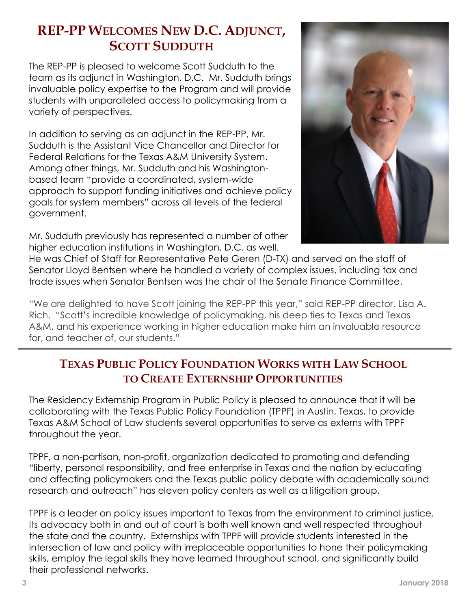### **REP-PP WELCOMES NEW D.C. ADJUNCT, SCOTT SUDDUTH**

The REP-PP is pleased to welcome Scott Sudduth to the team as its adjunct in Washington, D.C. Mr. Sudduth brings invaluable policy expertise to the Program and will provide students with unparalleled access to policymaking from a variety of perspectives.

In addition to serving as an adjunct in the REP-PP, Mr. Sudduth is the Assistant Vice Chancellor and Director for Federal Relations for the Texas A&M University System. Among other things, Mr. Sudduth and his Washingtonbased team "provide a coordinated, system-wide approach to support funding initiatives and achieve policy goals for system members" across all levels of the federal government.

Mr. Sudduth previously has represented a number of other higher education institutions in Washington, D.C. as well.



He was Chief of Staff for Representative Pete Geren (D-TX) and served on the staff of Senator Lloyd Bentsen where he handled a variety of complex issues, including tax and trade issues when Senator Bentsen was the chair of the Senate Finance Committee.

"We are delighted to have Scott joining the REP-PP this year," said REP-PP director, Lisa A. Rich. "Scott's incredible knowledge of policymaking, his deep ties to Texas and Texas A&M, and his experience working in higher education make him an invaluable resource for, and teacher of, our students."

#### **TEXAS PUBLIC POLICY FOUNDATION WORKS WITH LAW SCHOOL TO CREATE EXTERNSHIP OPPORTUNITIES**

The Residency Externship Program in Public Policy is pleased to announce that it will be collaborating with the Texas Public Policy Foundation (TPPF) in Austin, Texas, to provide Texas A&M School of Law students several opportunities to serve as externs with TPPF throughout the year.

TPPF, a non-partisan, non-profit, organization dedicated to promoting and defending "liberty, personal responsibility, and free enterprise in Texas and the nation by educating and affecting policymakers and the Texas public policy debate with academically sound research and outreach" has eleven policy centers as well as a litigation group.

TPPF is a leader on policy issues important to Texas from the environment to criminal justice. Its advocacy both in and out of court is both well known and well respected throughout the state and the country. Externships with TPPF will provide students interested in the intersection of law and policy with irreplaceable opportunities to hone their policymaking skills, employ the legal skills they have learned throughout school, and significantly build their professional networks.